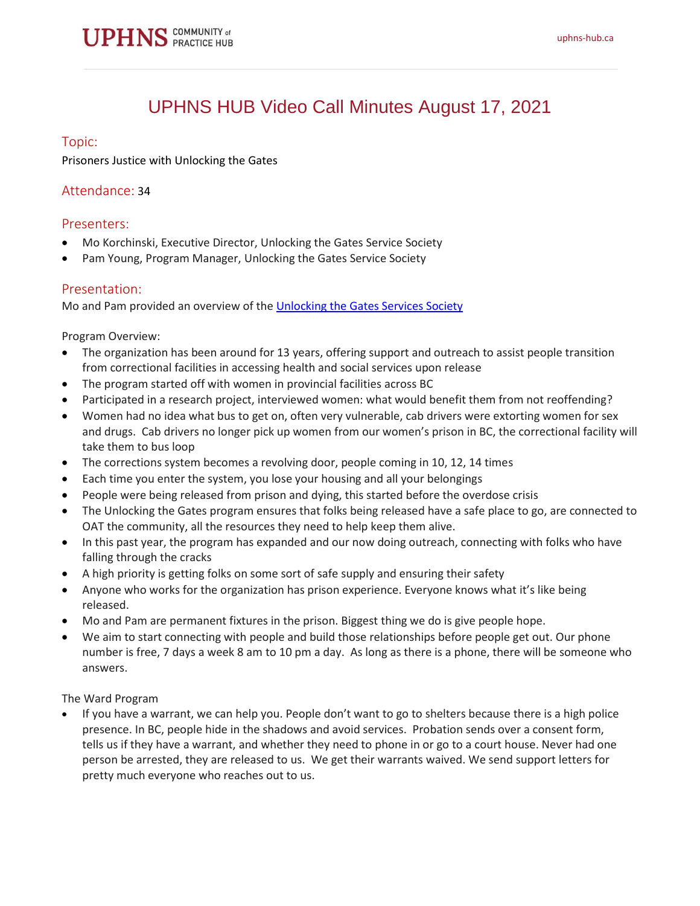# UPHNS HUB Video Call Minutes August 17, 2021

# Topic:

Prisoners Justice with Unlocking the Gates

# Attendance: 34

# Presenters:

- Mo Korchinski, Executive Director, Unlocking the Gates Service Society
- Pam Young, Program Manager, Unlocking the Gates Service Society

# Presentation:

Mo and Pam provided an overview of the [Unlocking the Gates Services Society](https://unlockingthegates.org/)

Program Overview:

- The organization has been around for 13 years, offering support and outreach to assist people transition from correctional facilities in accessing health and social services upon release
- The program started off with women in provincial facilities across BC
- Participated in a research project, interviewed women: what would benefit them from not reoffending?
- Women had no idea what bus to get on, often very vulnerable, cab drivers were extorting women for sex and drugs. Cab drivers no longer pick up women from our women's prison in BC, the correctional facility will take them to bus loop
- The corrections system becomes a revolving door, people coming in 10, 12, 14 times
- Each time you enter the system, you lose your housing and all your belongings
- People were being released from prison and dying, this started before the overdose crisis
- The Unlocking the Gates program ensures that folks being released have a safe place to go, are connected to OAT the community, all the resources they need to help keep them alive.
- In this past year, the program has expanded and our now doing outreach, connecting with folks who have falling through the cracks
- A high priority is getting folks on some sort of safe supply and ensuring their safety
- Anyone who works for the organization has prison experience. Everyone knows what it's like being released.
- Mo and Pam are permanent fixtures in the prison. Biggest thing we do is give people hope.
- We aim to start connecting with people and build those relationships before people get out. Our phone number is free, 7 days a week 8 am to 10 pm a day. As long as there is a phone, there will be someone who answers.

The Ward Program

• If you have a warrant, we can help you. People don't want to go to shelters because there is a high police presence. In BC, people hide in the shadows and avoid services. Probation sends over a consent form, tells us if they have a warrant, and whether they need to phone in or go to a court house. Never had one person be arrested, they are released to us. We get their warrants waived. We send support letters for pretty much everyone who reaches out to us.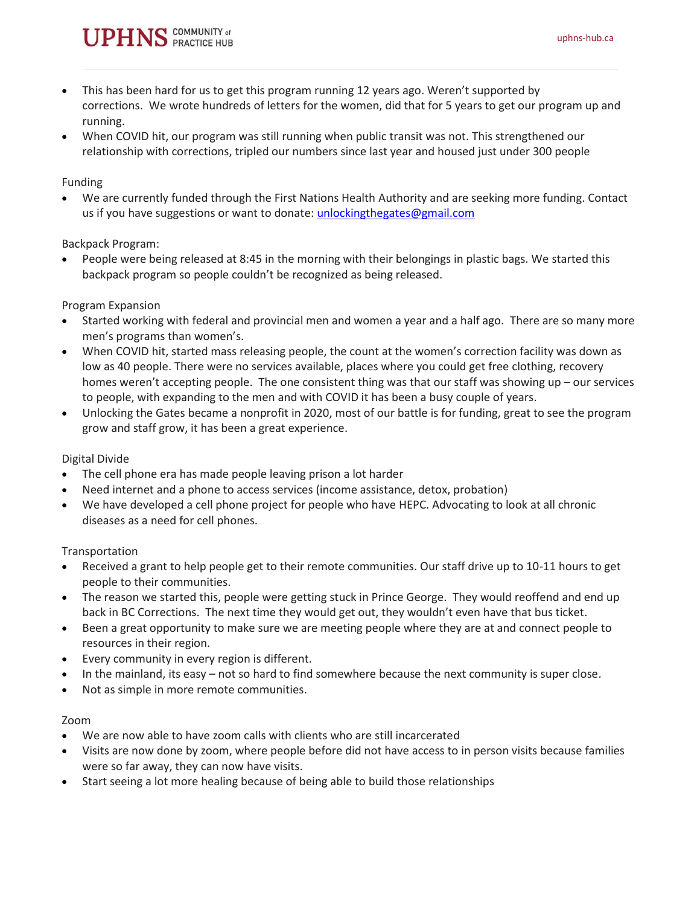

- This has been hard for us to get this program running 12 years ago. Weren't supported by corrections. We wrote hundreds of letters for the women, did that for 5 years to get our program up and running.
- When COVID hit, our program was still running when public transit was not. This strengthened our relationship with corrections, tripled our numbers since last year and housed just under 300 people

#### Funding

• We are currently funded through the First Nations Health Authority and are seeking more funding. Contact us if you have suggestions or want to donate: [unlockingthegates@gmail.com](mailto:unlockingthegates@gmail.com)

#### Backpack Program:

• People were being released at 8:45 in the morning with their belongings in plastic bags. We started this backpack program so people couldn't be recognized as being released.

#### Program Expansion

- Started working with federal and provincial men and women a year and a half ago. There are so many more men's programs than women's.
- When COVID hit, started mass releasing people, the count at the women's correction facility was down as low as 40 people. There were no services available, places where you could get free clothing, recovery homes weren't accepting people. The one consistent thing was that our staff was showing up – our services to people, with expanding to the men and with COVID it has been a busy couple of years.
- Unlocking the Gates became a nonprofit in 2020, most of our battle is for funding, great to see the program grow and staff grow, it has been a great experience.

### Digital Divide

- The cell phone era has made people leaving prison a lot harder
- Need internet and a phone to access services (income assistance, detox, probation)
- We have developed a cell phone project for people who have HEPC. Advocating to look at all chronic diseases as a need for cell phones.

#### Transportation

- Received a grant to help people get to their remote communities. Our staff drive up to 10-11 hours to get people to their communities.
- The reason we started this, people were getting stuck in Prince George. They would reoffend and end up back in BC Corrections. The next time they would get out, they wouldn't even have that bus ticket.
- Been a great opportunity to make sure we are meeting people where they are at and connect people to resources in their region.
- Every community in every region is different.
- In the mainland, its easy not so hard to find somewhere because the next community is super close.
- Not as simple in more remote communities.

#### Zoom

- We are now able to have zoom calls with clients who are still incarcerated
- Visits are now done by zoom, where people before did not have access to in person visits because families were so far away, they can now have visits.
- Start seeing a lot more healing because of being able to build those relationships